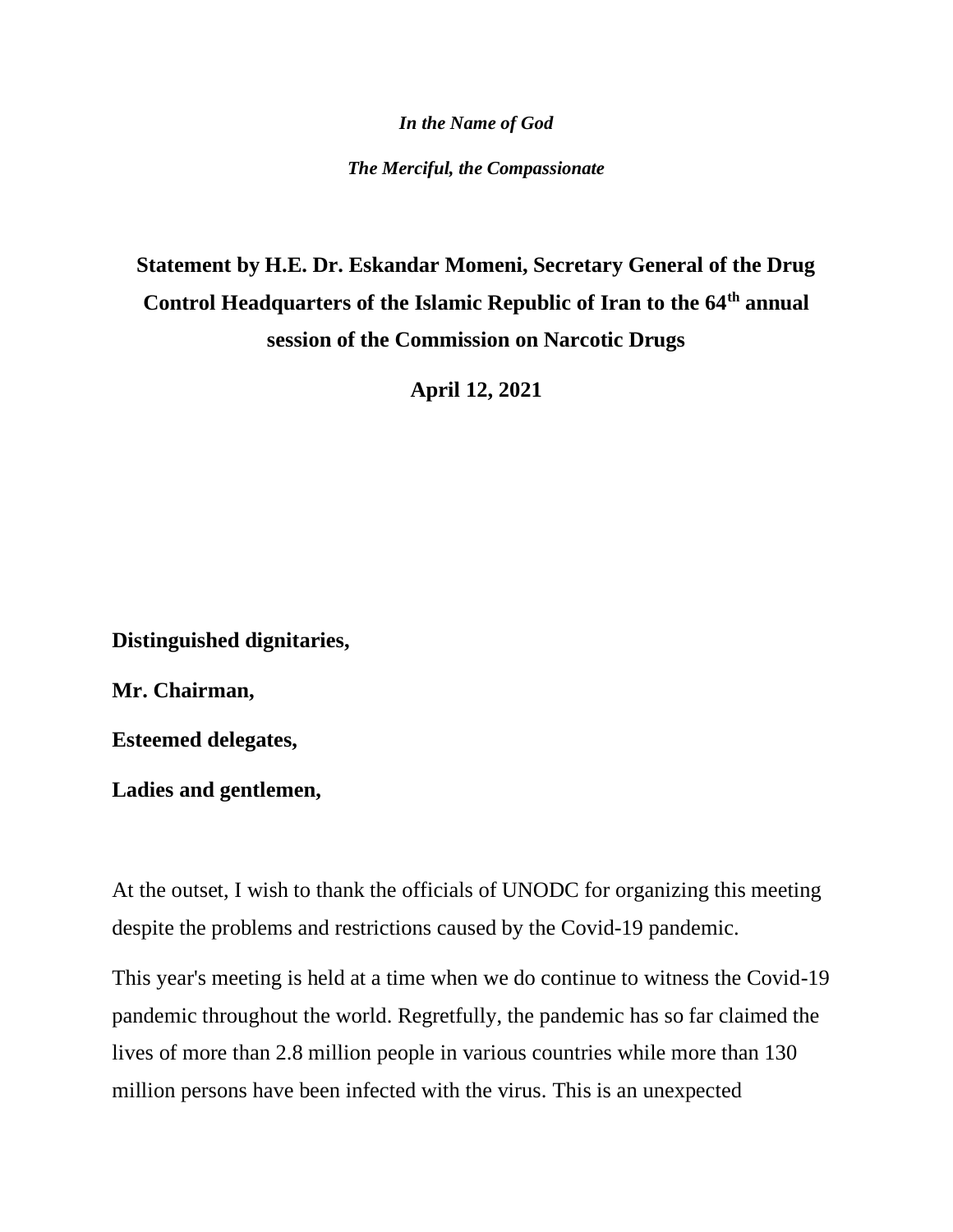*In the Name of God*

*The Merciful, the Compassionate*

# **Statement by H.E. Dr. Eskandar Momeni, Secretary General of the Drug Control Headquarters of the Islamic Republic of Iran to the 64th annual session of the Commission on Narcotic Drugs**

**April 12, 2021**

**Distinguished dignitaries,** 

**Mr. Chairman,** 

**Esteemed delegates,** 

**Ladies and gentlemen,** 

At the outset, I wish to thank the officials of UNODC for organizing this meeting despite the problems and restrictions caused by the Covid-19 pandemic.

This year's meeting is held at a time when we do continue to witness the Covid-19 pandemic throughout the world. Regretfully, the pandemic has so far claimed the lives of more than 2.8 million people in various countries while more than 130 million persons have been infected with the virus. This is an unexpected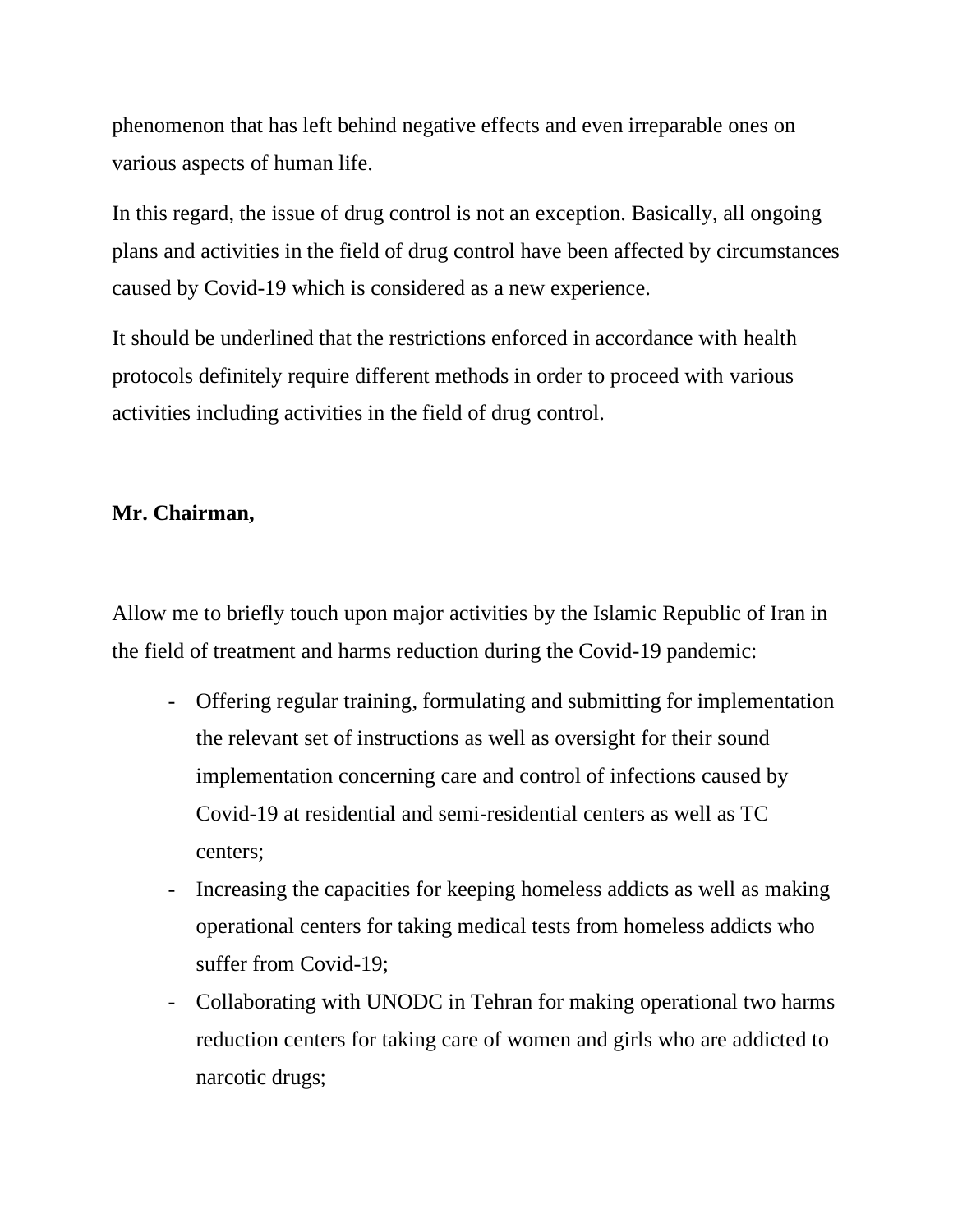phenomenon that has left behind negative effects and even irreparable ones on various aspects of human life.

In this regard, the issue of drug control is not an exception. Basically, all ongoing plans and activities in the field of drug control have been affected by circumstances caused by Covid-19 which is considered as a new experience.

It should be underlined that the restrictions enforced in accordance with health protocols definitely require different methods in order to proceed with various activities including activities in the field of drug control.

## **Mr. Chairman,**

Allow me to briefly touch upon major activities by the Islamic Republic of Iran in the field of treatment and harms reduction during the Covid-19 pandemic:

- Offering regular training, formulating and submitting for implementation the relevant set of instructions as well as oversight for their sound implementation concerning care and control of infections caused by Covid-19 at residential and semi-residential centers as well as TC centers;
- Increasing the capacities for keeping homeless addicts as well as making operational centers for taking medical tests from homeless addicts who suffer from Covid-19;
- Collaborating with UNODC in Tehran for making operational two harms reduction centers for taking care of women and girls who are addicted to narcotic drugs;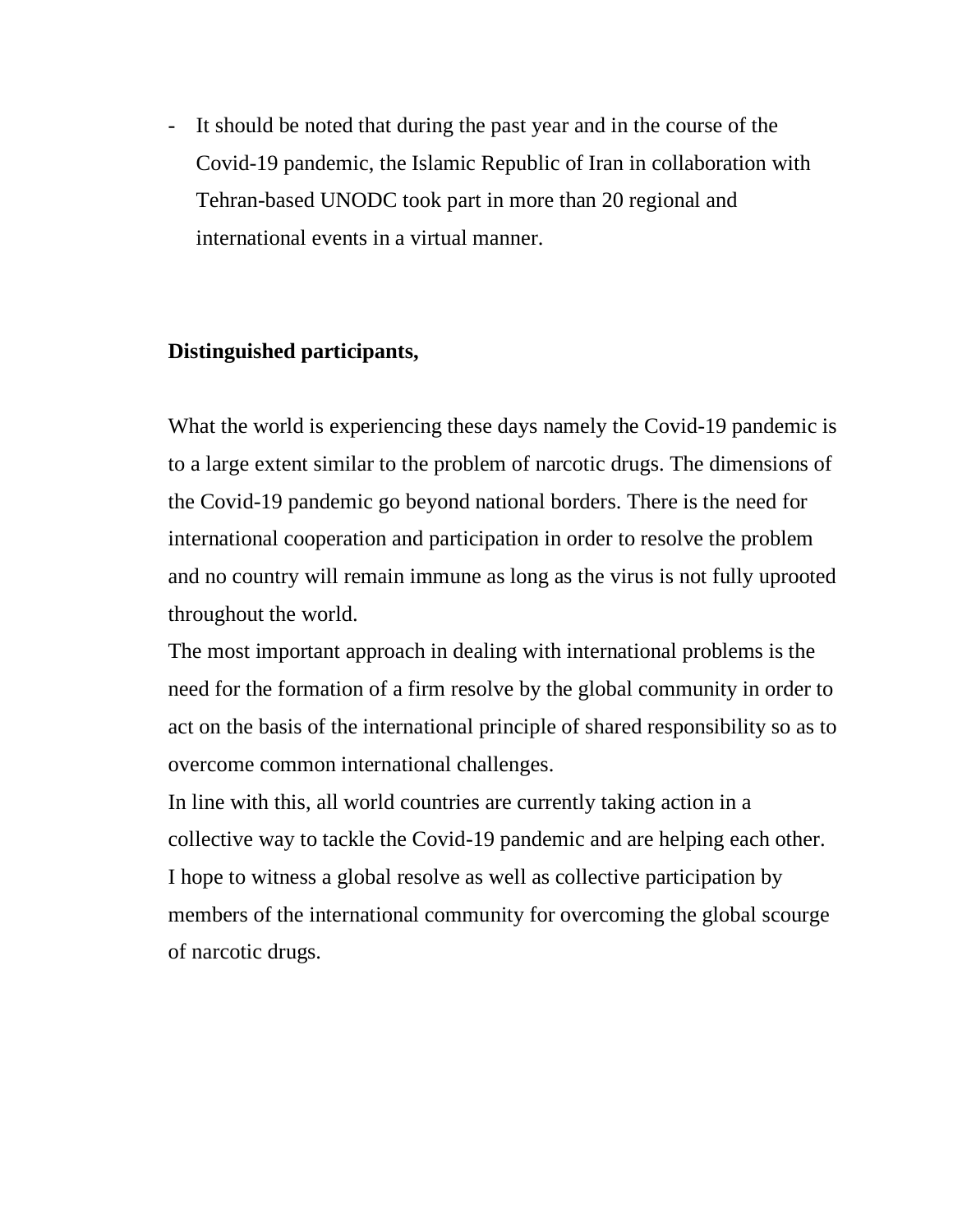- It should be noted that during the past year and in the course of the Covid-19 pandemic, the Islamic Republic of Iran in collaboration with Tehran-based UNODC took part in more than 20 regional and international events in a virtual manner.

# **Distinguished participants,**

What the world is experiencing these days namely the Covid-19 pandemic is to a large extent similar to the problem of narcotic drugs. The dimensions of the Covid-19 pandemic go beyond national borders. There is the need for international cooperation and participation in order to resolve the problem and no country will remain immune as long as the virus is not fully uprooted throughout the world.

The most important approach in dealing with international problems is the need for the formation of a firm resolve by the global community in order to act on the basis of the international principle of shared responsibility so as to overcome common international challenges.

In line with this, all world countries are currently taking action in a collective way to tackle the Covid-19 pandemic and are helping each other. I hope to witness a global resolve as well as collective participation by members of the international community for overcoming the global scourge of narcotic drugs.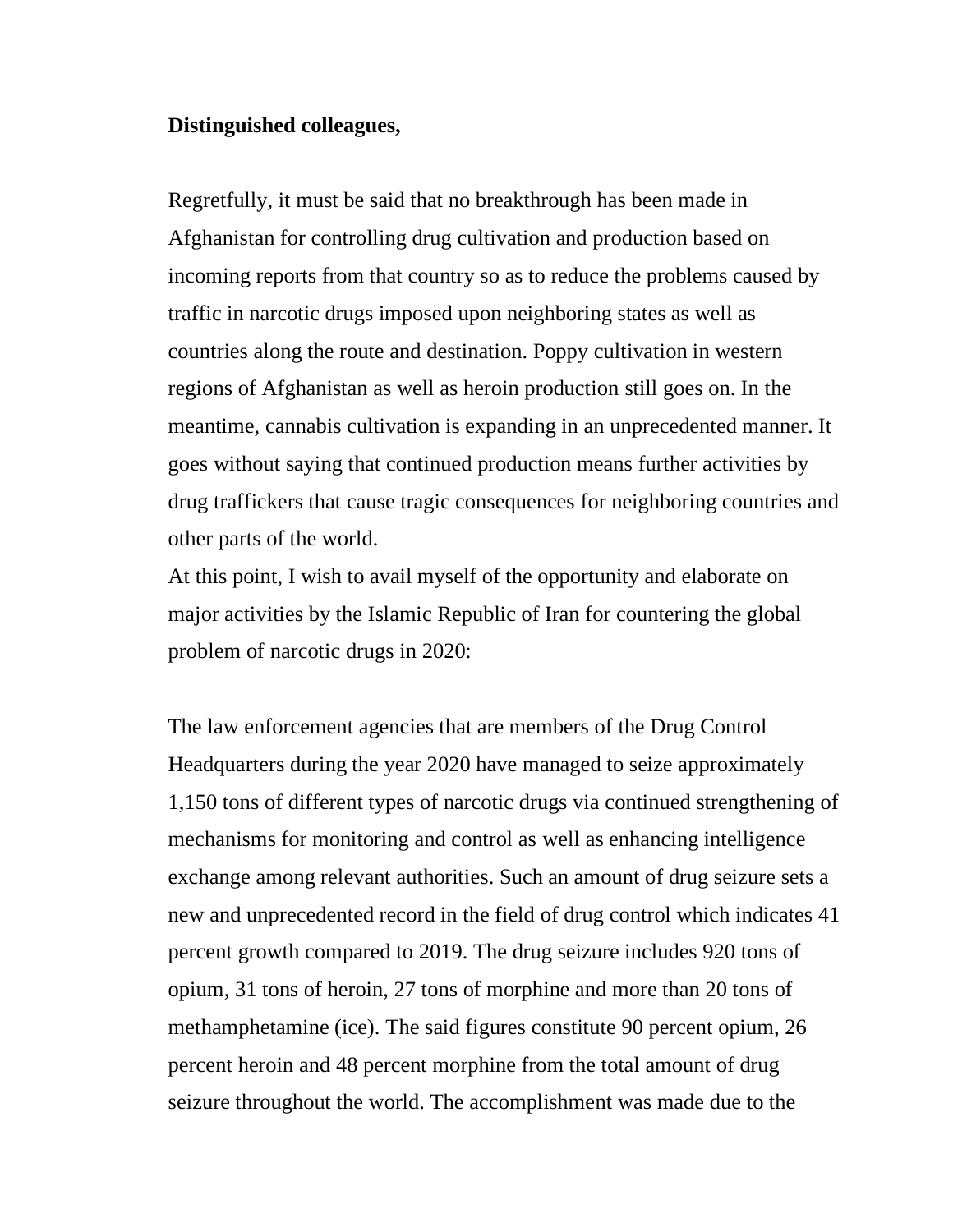#### **Distinguished colleagues,**

Regretfully, it must be said that no breakthrough has been made in Afghanistan for controlling drug cultivation and production based on incoming reports from that country so as to reduce the problems caused by traffic in narcotic drugs imposed upon neighboring states as well as countries along the route and destination. Poppy cultivation in western regions of Afghanistan as well as heroin production still goes on. In the meantime, cannabis cultivation is expanding in an unprecedented manner. It goes without saying that continued production means further activities by drug traffickers that cause tragic consequences for neighboring countries and other parts of the world.

At this point, I wish to avail myself of the opportunity and elaborate on major activities by the Islamic Republic of Iran for countering the global problem of narcotic drugs in 2020:

The law enforcement agencies that are members of the Drug Control Headquarters during the year 2020 have managed to seize approximately 1,150 tons of different types of narcotic drugs via continued strengthening of mechanisms for monitoring and control as well as enhancing intelligence exchange among relevant authorities. Such an amount of drug seizure sets a new and unprecedented record in the field of drug control which indicates 41 percent growth compared to 2019. The drug seizure includes 920 tons of opium, 31 tons of heroin, 27 tons of morphine and more than 20 tons of methamphetamine (ice). The said figures constitute 90 percent opium, 26 percent heroin and 48 percent morphine from the total amount of drug seizure throughout the world. The accomplishment was made due to the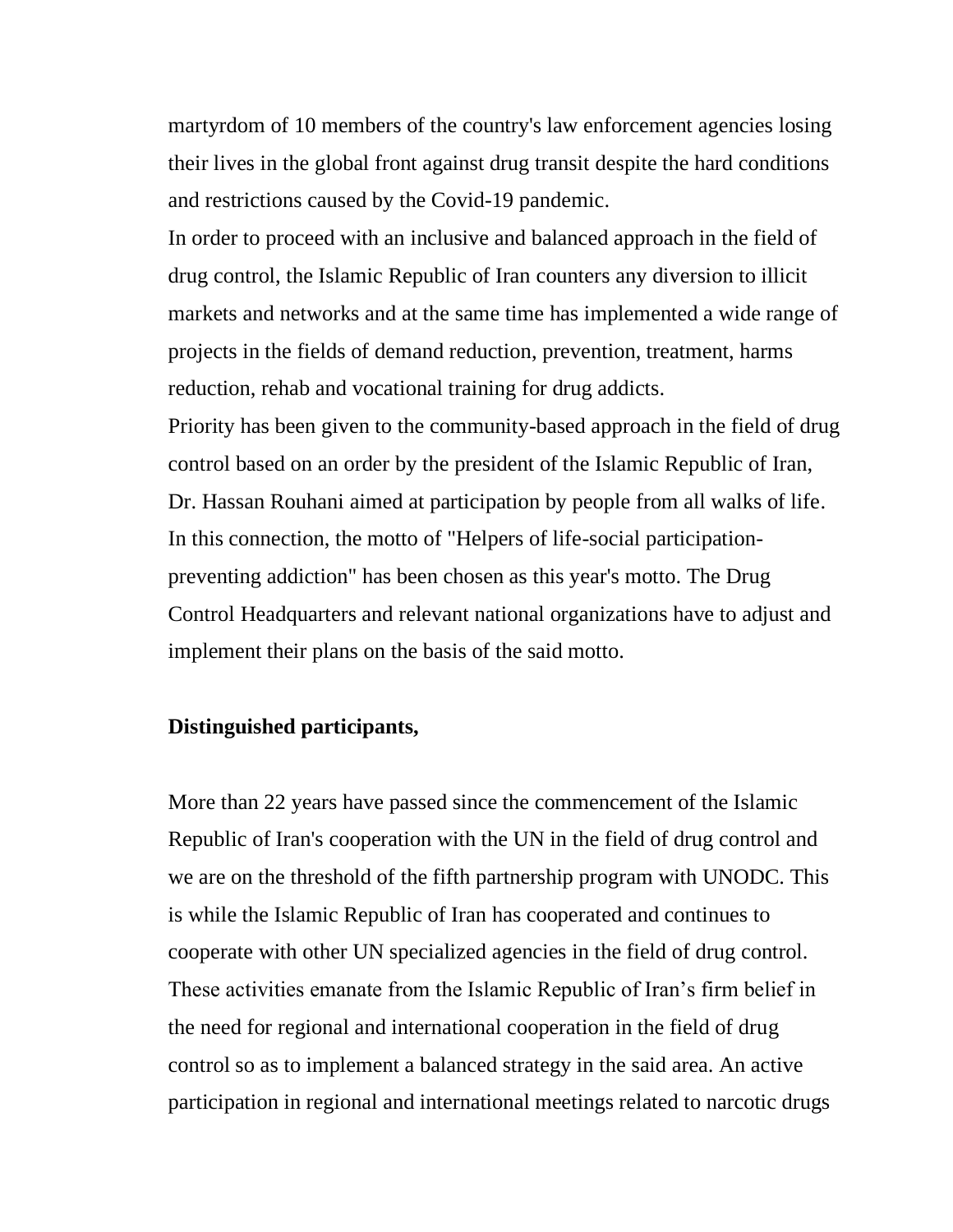martyrdom of 10 members of the country's law enforcement agencies losing their lives in the global front against drug transit despite the hard conditions and restrictions caused by the Covid-19 pandemic.

In order to proceed with an inclusive and balanced approach in the field of drug control, the Islamic Republic of Iran counters any diversion to illicit markets and networks and at the same time has implemented a wide range of projects in the fields of demand reduction, prevention, treatment, harms reduction, rehab and vocational training for drug addicts.

Priority has been given to the community-based approach in the field of drug control based on an order by the president of the Islamic Republic of Iran, Dr. Hassan Rouhani aimed at participation by people from all walks of life. In this connection, the motto of "Helpers of life-social participationpreventing addiction" has been chosen as this year's motto. The Drug Control Headquarters and relevant national organizations have to adjust and implement their plans on the basis of the said motto.

## **Distinguished participants,**

More than 22 years have passed since the commencement of the Islamic Republic of Iran's cooperation with the UN in the field of drug control and we are on the threshold of the fifth partnership program with UNODC. This is while the Islamic Republic of Iran has cooperated and continues to cooperate with other UN specialized agencies in the field of drug control. These activities emanate from the Islamic Republic of Iran's firm belief in the need for regional and international cooperation in the field of drug control so as to implement a balanced strategy in the said area. An active participation in regional and international meetings related to narcotic drugs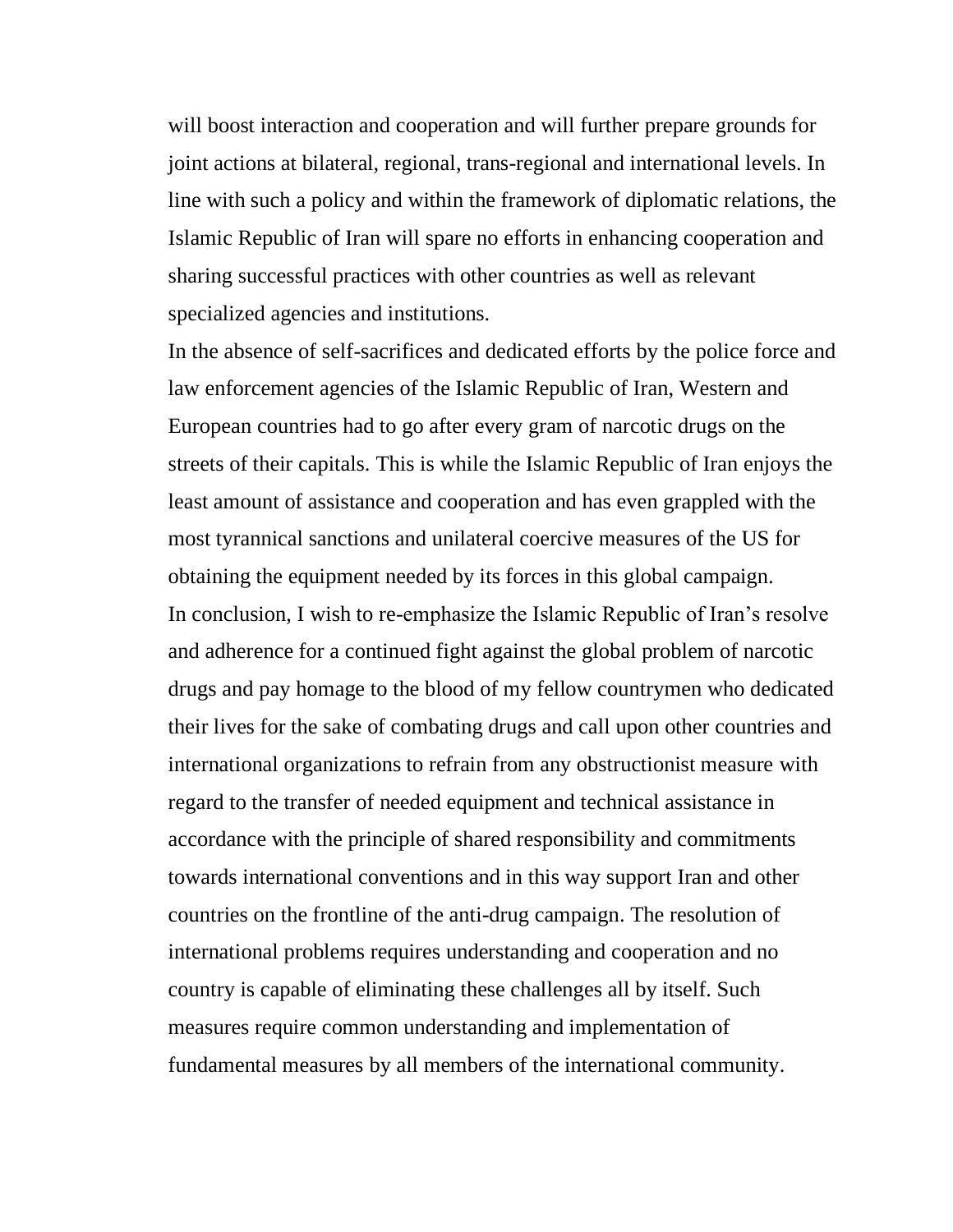will boost interaction and cooperation and will further prepare grounds for joint actions at bilateral, regional, trans-regional and international levels. In line with such a policy and within the framework of diplomatic relations, the Islamic Republic of Iran will spare no efforts in enhancing cooperation and sharing successful practices with other countries as well as relevant specialized agencies and institutions.

In the absence of self-sacrifices and dedicated efforts by the police force and law enforcement agencies of the Islamic Republic of Iran, Western and European countries had to go after every gram of narcotic drugs on the streets of their capitals. This is while the Islamic Republic of Iran enjoys the least amount of assistance and cooperation and has even grappled with the most tyrannical sanctions and unilateral coercive measures of the US for obtaining the equipment needed by its forces in this global campaign. In conclusion, I wish to re-emphasize the Islamic Republic of Iran's resolve and adherence for a continued fight against the global problem of narcotic drugs and pay homage to the blood of my fellow countrymen who dedicated their lives for the sake of combating drugs and call upon other countries and international organizations to refrain from any obstructionist measure with regard to the transfer of needed equipment and technical assistance in accordance with the principle of shared responsibility and commitments towards international conventions and in this way support Iran and other countries on the frontline of the anti-drug campaign. The resolution of international problems requires understanding and cooperation and no country is capable of eliminating these challenges all by itself. Such measures require common understanding and implementation of fundamental measures by all members of the international community.